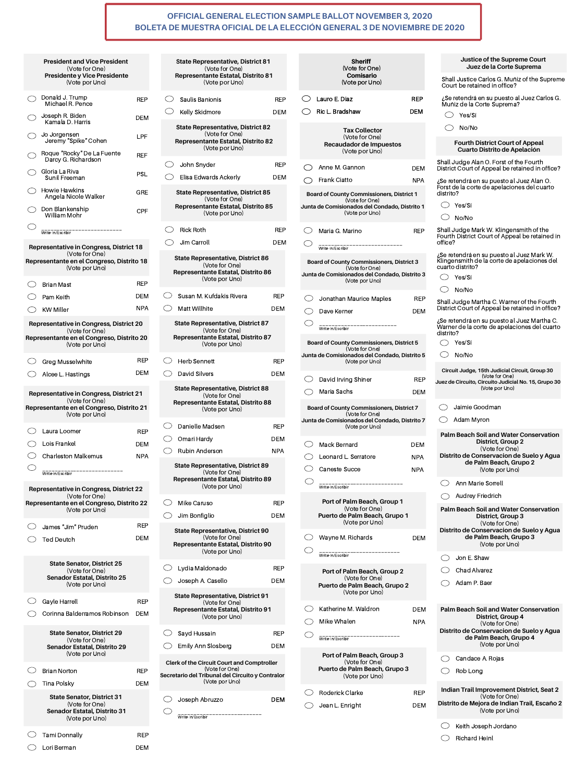\_\_\_\_\_\_\_\_\_\_\_\_\_\_\_\_\_\_\_\_\_\_\_\_\_\_ Write-in/Escribir

| <b>Representative in Congress, District 22</b><br>(Vote for One)        |            |                |
|-------------------------------------------------------------------------|------------|----------------|
| Representante en el Congreso, Distrito 22                               |            | Mike 0         |
| (Vote por Uno)                                                          |            | Jim Bo         |
| James "Jim" Pruden                                                      | <b>REP</b> | <b>State R</b> |
| <b>Ted Deutch</b>                                                       | <b>DEM</b> | <b>Represe</b> |
|                                                                         |            |                |
| <b>State Senator, District 25</b><br>(Vote for One)                     |            | Lydia          |
| <b>Senador Estatal, Distrito 25</b><br>(Vote por Uno)                   |            | Josep          |
| Gayle Harrell                                                           | <b>REP</b> | <b>State R</b> |
| Corinna Balderramos Robinson                                            | <b>DEM</b> | <b>Represe</b> |
| <b>State Senator, District 29</b>                                       |            | Sayd I         |
| (Vote for One)<br><b>Senador Estatal, Distrito 29</b><br>(Vote por Uno) |            | Emily          |
|                                                                         |            | Clerk of the   |
| <b>Brian Norton</b>                                                     | <b>REP</b> | Secretario de  |
| Tina Polsky                                                             | <b>DEM</b> |                |
| <b>State Senator, District 31</b><br>(Vote for One)                     |            | Josep          |
| <b>Senador Estatal, Distrito 31</b><br>(Vote por Uno)                   |            | Write-In/E     |
| Tami Donnally                                                           | REP        |                |
| Lori Berman                                                             | <b>DEM</b> |                |

| Write-In/Escribir                                                 |                         | Ann Marie Sorrell                                                                                                                       |
|-------------------------------------------------------------------|-------------------------|-----------------------------------------------------------------------------------------------------------------------------------------|
| Port of Palm Beach, Group 1                                       | <b>Audrey Friedrich</b> |                                                                                                                                         |
| (Vote for One)<br>Puerto de Palm Beach, Grupo 1<br>(Vote por Uno) |                         | <b>Palm Beach Soil and Water Conservation</b><br><b>District, Group 3</b><br>(Vote for One)<br>Distrito de Conservacion de Suelo y Agua |
| Wayne M. Richards                                                 | <b>DEM</b>              | de Palm Beach, Grupo 3<br>(Vote por Uno)                                                                                                |
| Write-In/Escribir                                                 |                         | Jon E. Shaw                                                                                                                             |
| Port of Palm Beach, Group 2                                       |                         | <b>Chad Alvarez</b>                                                                                                                     |
| (Vote for One)<br>Puerto de Palm Beach, Grupo 2<br>(Vote por Uno) |                         | Adam P. Baer                                                                                                                            |
| Katherine M. Waldron                                              | <b>DEM</b>              | <b>Palm Beach Soil and Water Conservation</b>                                                                                           |
| Mike Whalen                                                       | <b>NPA</b>              | District, Group 4<br>(Vote for One)                                                                                                     |
| Write-In/Escribir                                                 |                         | Distrito de Conservacion de Suelo y Agua<br>de Palm Beach, Grupo 4<br>(Vote por Uno)                                                    |
| Port of Palm Beach, Group 3<br>(Vote for One)                     |                         | Candace A. Rojas                                                                                                                        |
| Puerto de Palm Beach, Grupo 3<br>(Vote por Uno)                   |                         | Rob Long                                                                                                                                |
| <b>Roderick Clarke</b>                                            | <b>REP</b>              | Indian Trail Improvement District, Seat 2<br>(Vote for One)                                                                             |
| Jean L. Enright                                                   | <b>DEM</b>              | Distrito de Mejora de Indian Trail, Escaño 2<br>(Vote por Uno)                                                                          |
|                                                                   |                         | Keith Joseph Jordano                                                                                                                    |
|                                                                   |                         | <b>Richard Heinl</b>                                                                                                                    |

| <b>State Representative, District 81</b><br>(Vote for One)<br><b>Representante Estatal, Distrito 81</b><br>(Vote por Uno) |            |                         |
|---------------------------------------------------------------------------------------------------------------------------|------------|-------------------------|
| Saulis Banionis                                                                                                           | REP        |                         |
| Kelly Skidmore                                                                                                            | <b>DEM</b> |                         |
| <b>State Representative, District 82</b><br>(Vote for One)<br><b>Representante Estatal, Distrito 82</b><br>(Vote por Uno) |            |                         |
| John Snyder                                                                                                               | REP        |                         |
| Elisa Edwards Ackerly                                                                                                     | DEM        |                         |
| <b>State Representative, District 85</b><br>(Vote for One)<br>Representante Estatal, Distrito 85<br>(Vote por Uno)        |            | Boar<br>Junta           |
| <b>Rick Roth</b>                                                                                                          | REP        |                         |
| Jim Carroll                                                                                                               | DEM        |                         |
| <b>State Representative, District 86</b><br>(Vote for One)<br>Representante Estatal, Distrito 86<br>(Vote por Uno)        |            | Boar<br>Junta           |
| Susan M. Kufdakis Rivera                                                                                                  | REP        |                         |
| <b>Matt Willhite</b>                                                                                                      | <b>DEM</b> |                         |
| <b>State Representative, District 87</b><br>(Vote for One)<br>Representante Estatal, Distrito 87<br>(Vote por Uno)        |            | Boar                    |
| <b>Herb Sennett</b>                                                                                                       | <b>REP</b> | Junta                   |
| <b>David Silvers</b>                                                                                                      | DEM        |                         |
| <b>State Representative, District 88</b><br>(Vote for One)<br><b>Representante Estatal, Distrito 88</b>                   |            |                         |
| (Vote por Uno)                                                                                                            |            | Boar                    |
| Danielle Madsen                                                                                                           | <b>REP</b> | Junta                   |
| Omari Hardy                                                                                                               |            |                         |
|                                                                                                                           | DEM        |                         |
| <b>Rubin Anderson</b>                                                                                                     | <b>NPA</b> | $\bigcirc$              |
| <b>State Representative, District 89</b><br>(Vote for One)<br>Representante Estatal, Distrito 89<br>(Vote por Uno)        |            | $\bigcirc$<br>$\bigcap$ |
| <b>Mike Caruso</b>                                                                                                        | REP        |                         |
| Jim Bonfiglio                                                                                                             | DEM        |                         |
| <b>State Representative, District 90</b><br>(Vote for One)<br>Representante Estatal, Distrito 90<br>(Vote por Uno)        |            |                         |
| Lydia Maldonado<br>Joseph A. Casello                                                                                      | REP<br>DEM |                         |
| <b>State Representative, District 91</b><br>(Vote for One)<br>Representante Estatal, Distrito 91<br>(Vote por Uno)        |            |                         |
| Sayd Hussain                                                                                                              | REP        | $\bigcirc$              |
| Emily Ann Slosberg                                                                                                        | DEM        |                         |
| <b>Clerk of the Circuit Court and Comptroller</b><br>(Vote for One)<br>Secretario del Tribunal del Circuito y Contralor   |            |                         |
| (Vote por Uno)                                                                                                            |            |                         |
| Joseph Abruzzo<br>Write-In/Escribir                                                                                       | DEM        |                         |

|            | <b>President and Vice President</b><br>(Vote for One)<br><b>Presidente y Vice Presidente</b><br>(Vote por Uno)                  |            |
|------------|---------------------------------------------------------------------------------------------------------------------------------|------------|
|            | Donald J. Trump<br>Michael R. Pence                                                                                             | REP        |
|            | Joseph R. Biden<br>Kamala D. Harris                                                                                             | DEM        |
|            | Jo Jorgensen<br>Jeremy "Spike" Cohen                                                                                            | LPF        |
|            | Roque "Rocky" De La Fuente<br>Darcy G. Richardson                                                                               | REF        |
|            | Gloria La Riva<br>Sunil Freeman                                                                                                 | PSL        |
|            | <b>Howie Hawkins</b><br>Angela Nicole Walker                                                                                    | <b>GRE</b> |
|            | Don Blankenship<br><b>William Mohr</b>                                                                                          | <b>CPF</b> |
|            |                                                                                                                                 |            |
|            | <b>Representative in Congress, District 18</b><br>(Vote for One)                                                                |            |
|            | Representante en el Congreso, Distrito 18<br>(Vote por Uno)                                                                     |            |
|            | <b>Brian Mast</b>                                                                                                               | RFP        |
|            | Pam Keith                                                                                                                       | DEM        |
|            | <b>KW Miller</b>                                                                                                                | NPA        |
|            | Representative in Congress, District 20<br>(Vote for One)<br>Representante en el Congreso, Distrito 20<br>(Vote por Uno)        |            |
|            | <b>Greg Musselwhite</b>                                                                                                         | REP        |
|            | Alcee L. Hastings                                                                                                               | DEM        |
|            | <b>Representative in Congress, District 21</b><br>(Vote for One)<br>Representante en el Congreso, Distrito 21<br>(Vote por Uno) |            |
|            | Laura Loomer                                                                                                                    | REP        |
| $\bigcirc$ | Lois Frankel                                                                                                                    | DEM        |

| <b>Sheriff</b><br>(Vote for One)                                |                                                                                                                                       |                          | <b>Justice of the Supreme Court</b><br>Juez de la Corte Suprema                                                                 |  |  |
|-----------------------------------------------------------------|---------------------------------------------------------------------------------------------------------------------------------------|--------------------------|---------------------------------------------------------------------------------------------------------------------------------|--|--|
|                                                                 | <b>Comisario</b><br>(Vote por Uno)                                                                                                    |                          | Shall Justice Carlos G. Muñiz of the Supreme<br>Court be retained in office?                                                    |  |  |
|                                                                 | Lauro E. Diaz                                                                                                                         | <b>REP</b>               | ¿Se retendrá en su puesto al Juez Carlos G.<br>Muñiz de la Corte Suprema?                                                       |  |  |
|                                                                 | Ric L. Bradshaw                                                                                                                       | <b>DEM</b>               | Yes/Sí                                                                                                                          |  |  |
|                                                                 | <b>Tax Collector</b>                                                                                                                  |                          | No/No                                                                                                                           |  |  |
|                                                                 | (Vote for One)<br><b>Recaudador de Impuestos</b><br>(Vote por Uno)                                                                    |                          | <b>Fourth District Court of Appeal</b><br>Cuarto Distrito de Apelación                                                          |  |  |
|                                                                 | Anne M. Gannon                                                                                                                        | <b>DEM</b>               | Shall Judge Alan O. Forst of the Fourth<br>District Court of Appeal be retained in office?                                      |  |  |
|                                                                 | <b>Frank Ciatto</b>                                                                                                                   | <b>NPA</b>               | ¿Se retendrá en su puesto al Juez Alan O.<br>Forst de la corte de apelaciones del cuarto                                        |  |  |
| <b>Board of County Commissioners, District 1</b>                |                                                                                                                                       |                          | distrito?                                                                                                                       |  |  |
|                                                                 | (Vote for One)<br>Junta de Comisionados del Condado, Distrito 1<br>(Vote por Uno)                                                     |                          | Yes/Sí                                                                                                                          |  |  |
|                                                                 |                                                                                                                                       |                          | No/No                                                                                                                           |  |  |
|                                                                 | Maria G. Marino<br>Write-In/Escribir                                                                                                  | <b>REP</b>               | Shall Judge Mark W. Klingensmith of the<br>Fourth District Court of Appeal be retained in<br>office?                            |  |  |
|                                                                 | <b>Board of County Commissioners, District 3</b><br>(Vote for One)<br>Junta de Comisionados del Condado, Distrito 3<br>(Vote por Uno) |                          | ¿Se retendrá en su puesto al Juez Mark W.<br>Klingensmith de la corte de apelaciones del<br>cuarto distrito?<br>Yes/Sí<br>No/No |  |  |
|                                                                 | Jonathan Maurice Maples<br>Dave Kerner                                                                                                | <b>REP</b><br><b>DEM</b> | Shall Judge Martha C. Warner of the Fourth<br>District Court of Appeal be retained in office?                                   |  |  |
|                                                                 | Write-In/Escribir                                                                                                                     |                          | ¿Se retendrá en su puesto al Juez Martha C.<br>Warner de la corte de apelaciones del cuarto<br>distrito?                        |  |  |
|                                                                 | <b>Board of County Commissioners, District 5</b><br>(Vote for One)                                                                    |                          | Yes/Sí                                                                                                                          |  |  |
|                                                                 | Junta de Comisionados del Condado, Distrito 5<br>(Vote por Uno)                                                                       |                          | No/No                                                                                                                           |  |  |
|                                                                 |                                                                                                                                       |                          | Circuit Judge, 15th Judicial Circuit, Group 30<br>(Vote for One)                                                                |  |  |
|                                                                 | David Irving Shiner                                                                                                                   | <b>REP</b>               | Juez de Circuito, Circuito Judicial No. 15, Grupo 30<br>(Vote por Uno)                                                          |  |  |
|                                                                 | Maria Sachs                                                                                                                           | <b>DEM</b>               |                                                                                                                                 |  |  |
|                                                                 | <b>Board of County Commissioners, District 7</b><br>(Vote for One)                                                                    |                          | Jaimie Goodman                                                                                                                  |  |  |
| Junta de Comisionados del Condado, Distrito 7<br>(Vote por Uno) |                                                                                                                                       |                          | <b>Adam Myron</b>                                                                                                               |  |  |
| (                                                               | <b>Mack Bernard</b>                                                                                                                   | <b>DEM</b>               | <b>Palm Beach Soil and Water Conservation</b><br><b>District, Group 2</b><br>(Vote for One)                                     |  |  |
|                                                                 | Leonard L. Serratore                                                                                                                  | <b>NPA</b>               | Distrito de Conservacion de Suelo y Agua<br>de Palm Beach, Grupo 2                                                              |  |  |
|                                                                 | <b>Caneste Succe</b>                                                                                                                  | <b>NPA</b>               | (Vote por Uno)                                                                                                                  |  |  |

# Yes/Sí No/No endrá en su puesto al Juez Carlos G.<br>1e la Corte Suprema? **Fourth District Court of Appeal Cuarto Distrito de Apelación** Shall Judge Alan O. Forst of the Fourth District Court of Appeal be retained in office? drá en su puesto al Juez Alan O. a corte de apelaciones del cuarto s/Sí No/No Shall Judge Mark W. Klingensmith of the Fourth District Court of Appeal be retained in ¿Se retendrá en su puesto al Juez Mark W. Klingensmith de la corte de apelaciones del strito? s/Sí No/No Shall Judge Martha C. Warner of the Fourth District Court of Appeal be retained in office? idrá en su puesto al Juez Martha C<mark>.</mark><br>le la corte de apelaciones del cuarto s/Sí No/No **Circuit Judge, 15th Judicial Circuit, Group 30** (Vote for One) **Juez de Circuito, Circuito Judicial No. 15, Grupo 30** (Vote por Uno) mie Goodman am Myron **Palm Beach Soil and Water Conservation District, Group 2**

Ann Marie Sorrell

## **OFFICIAL GENERAL ELECTION SAMPLE BALLOT NOVEMBER 3, 2020 BOLETA DE MUESTRA OFICIAL DE LA ELECCIÓN GENERAL 3 DE NOVIEMBRE DE 2020**